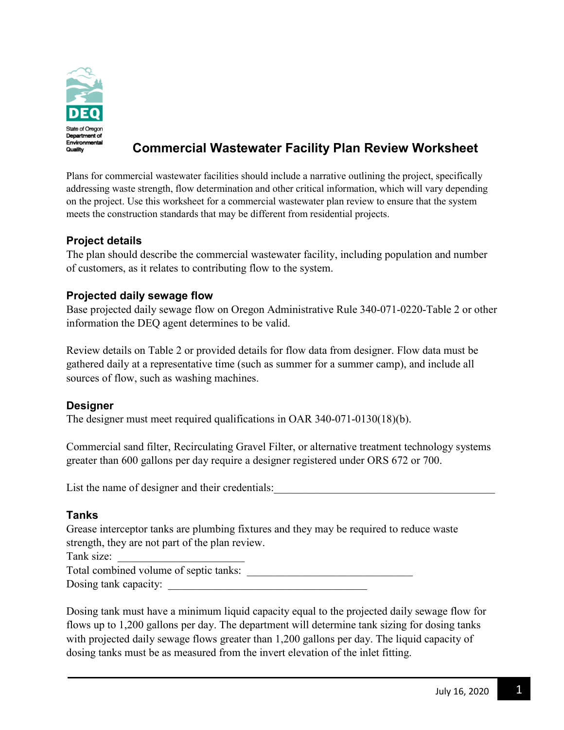

# **Commercial Wastewater Facility Plan Review Worksheet**

Plans for commercial wastewater facilities should include a narrative outlining the project, specifically addressing waste strength, flow determination and other critical information, which will vary depending on the project. Use this worksheet for a commercial wastewater plan review to ensure that the system meets the construction standards that may be different from residential projects.

### **Project details**

The plan should describe the commercial wastewater facility, including population and number of customers, as it relates to contributing flow to the system.

## **Projected daily sewage flow**

Base projected daily sewage flow on Oregon Administrative Rule 340-071-0220-Table 2 or other information the DEQ agent determines to be valid.

Review details on Table 2 or provided details for flow data from designer. Flow data must be gathered daily at a representative time (such as summer for a summer camp), and include all sources of flow, such as washing machines.

## **Designer**

The designer must meet required qualifications in OAR 340-071-0130(18)(b).

Commercial sand filter, Recirculating Gravel Filter, or alternative treatment technology systems greater than 600 gallons per day require a designer registered under ORS 672 or 700.

List the name of designer and their credentials:

#### **Tanks**

Grease interceptor tanks are plumbing fixtures and they may be required to reduce waste strength, they are not part of the plan review.

Tank size:

Total combined volume of septic tanks:  $\Box$ 

Dosing tank capacity:

Dosing tank must have a minimum liquid capacity equal to the projected daily sewage flow for flows up to 1,200 gallons per day. The department will determine tank sizing for dosing tanks with projected daily sewage flows greater than 1,200 gallons per day. The liquid capacity of dosing tanks must be as measured from the invert elevation of the inlet fitting.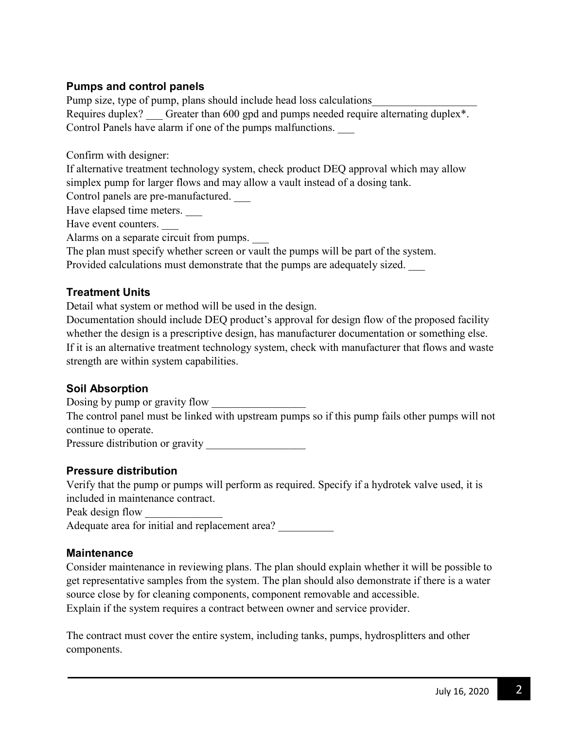## **Pumps and control panels**

Pump size, type of pump, plans should include head loss calculations Requires duplex? Greater than 600 gpd and pumps needed require alternating duplex\*. Control Panels have alarm if one of the pumps malfunctions. \_\_\_

Confirm with designer:

If alternative treatment technology system, check product DEQ approval which may allow simplex pump for larger flows and may allow a vault instead of a dosing tank.

Control panels are pre-manufactured. \_\_\_

Have elapsed time meters.

Have event counters.

Alarms on a separate circuit from pumps.

The plan must specify whether screen or vault the pumps will be part of the system.

Provided calculations must demonstrate that the pumps are adequately sized. \_\_\_

#### **Treatment Units**

Detail what system or method will be used in the design.

Documentation should include DEQ product's approval for design flow of the proposed facility whether the design is a prescriptive design, has manufacturer documentation or something else. If it is an alternative treatment technology system, check with manufacturer that flows and waste strength are within system capabilities.

#### **Soil Absorption**

Dosing by pump or gravity flow

The control panel must be linked with upstream pumps so if this pump fails other pumps will not continue to operate.

Pressure distribution or gravity \_\_\_\_\_\_\_\_\_\_\_\_\_\_\_\_\_\_

## **Pressure distribution**

Verify that the pump or pumps will perform as required. Specify if a hydrotek valve used, it is included in maintenance contract.

Peak design flow

Adequate area for initial and replacement area?

#### **Maintenance**

Consider maintenance in reviewing plans. The plan should explain whether it will be possible to get representative samples from the system. The plan should also demonstrate if there is a water source close by for cleaning components, component removable and accessible. Explain if the system requires a contract between owner and service provider.

The contract must cover the entire system, including tanks, pumps, hydrosplitters and other components.